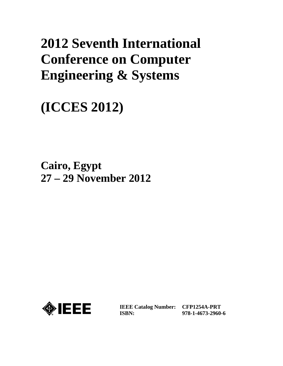# **2012 Seventh International Conference on Computer Engineering & Systems**

**(ICCES 2012)**

**Cairo, Egypt 27 – 29 November 2012**



**IEEE Catalog Number: CFP1254A-PRT ISBN:** 

**978-1-4673-2960-6**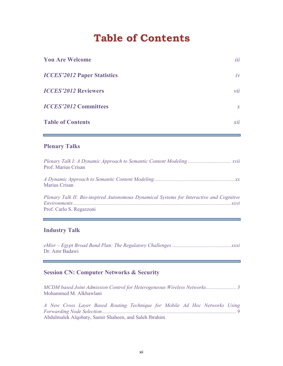## **Table of Contents**

| <b>You Are Welcome</b>             | iii           |
|------------------------------------|---------------|
| <b>ICCES'2012 Paper Statistics</b> | iv            |
| <b>ICCES'2012 Reviewers</b>        | vii           |
| <b>ICCES'2012 Committees</b>       | $\mathcal{X}$ |
| <b>Table of Contents</b>           | xii           |

## **Plenary Talks**

| Prof. Marius Crisan                                                                                                  |
|----------------------------------------------------------------------------------------------------------------------|
| Marius Crisan                                                                                                        |
| Plenary Talk II: Bio-inspired Autonomous Dynamical Systems for Interactive and Cognitive<br>Prof. Carlo S. Regazzoni |

## **Industry Talk**

*eMisr – Egypt Broad Band Plan: The Regulatory Challenges ............................................. xxxi* Dr. Amr Badawi

#### **Session CN: Computer Networks & Security**

*MCDM based Joint Admission Control for Heterogeneous Wireless Networks ....................... 3*  Mohammed M. Alkhawlani

*A New Cross Layer Based Routing Technique for Mobile Ad Hoc Networks Using Forwarding Node Selection ....................................................................................................... 9*  Abdulmalek Alqobaty, Samir Shaheen, and Saleh Ibrahim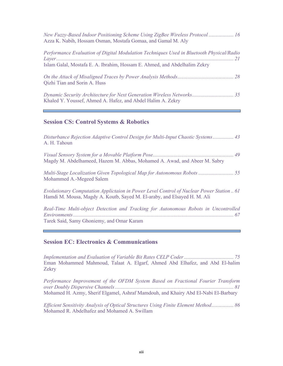| New Fuzzy-Based Indoor Positioning Scheme Using ZigBee Wireless Protocol  16<br>Azza K. Nabih, Hossam Osman, Mostafa Gomaa, and Gamal M. Aly                          |
|-----------------------------------------------------------------------------------------------------------------------------------------------------------------------|
| Performance Evaluation of Digital Modulation Techniques Used in Bluetooth Physical/Radio<br>Islam Galal, Mostafa E. A. Ibrahim, Hossam E. Ahmed, and Abdelhalim Zekry |
| Qizhi Tian and Sorin A. Huss                                                                                                                                          |
| Dynamic Security Architecture for Next Generation Wireless Networks 35<br>Khaled Y. Youssef, Ahmed A. Hafez, and Abdel Halim A. Zekry                                 |

## **Session CS: Control Systems & Robotics**

| Disturbance Rejection Adaptive Control Design for Multi-Input Chaotic Systems 43<br>A. H. Tahoun                                                                    |
|---------------------------------------------------------------------------------------------------------------------------------------------------------------------|
| Magdy M. Abdelhameed, Hazem M. Abbas, Mohamed A. Awad, and Abeer M. Sabry                                                                                           |
| Multi-Stage Localization Given Topological Map for Autonomous Robots  55<br>Mohammed A.-Megeed Salem                                                                |
| Evolutionary Computation Applictaion in Power Level Control of Nuclear Power Station 61<br>Hamdi M. Mousa, Magdy A. Koutb, Sayed M. El-araby, and Elsayed H. M. Ali |
| Real-Time Multi-object Detection and Tracking for Autonomous Robots in Uncontrolled                                                                                 |

Tarek Said, Samy Ghoniemy, and Omar Karam

#### **Session EC: Electronics & Communications**

*Implementation and Evaluation of Variable Bit Rates CELP Coder ...................................... 75*  Eman Mohammed Mahmoud, Talaat A. Elgarf, Ahmed Abd Elhafez, and Abd El-halim Zekry

*Performance Improvement of the OFDM System Based on Fractional Fourier Transform over Doubly Dispersive Channels ........................................................................................... 81*  Mohamed H. Azmy, Sherif Elgamel, Ashraf Mamdouh, and Khairy Abd El-Nabi El-Barbary

*Efficient Sensitivity Analysis of Optical Structures Using Finite Element Method ................. 86*  Mohamed R. Abdelhafez and Mohamed A. Swillam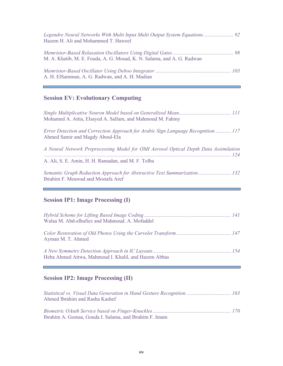| Legendre Neural Networks With Multi Input Multi Output System Equations 92<br>Hazem H. Ali and Mohammed T. Haweel |  |
|-------------------------------------------------------------------------------------------------------------------|--|
| M. A. Khatib, M. E. Fouda, A. G. Mosad, K. N. Salama, and A. G. Radwan                                            |  |
| A. H. ElSamman, A. G. Radwan, and A. H. Madian                                                                    |  |

Ē

J

## **Session EV: Evolutionary Computing**

F

| Mohamed A. Attia, Elsayed A. Sallam, and Mahmoud M. Fahmy                                                            |
|----------------------------------------------------------------------------------------------------------------------|
| Error Detection and Correction Approach for Arabic Sign Language Recognition  117<br>Ahmed Samir and Magdy Aboul-Ela |
| A Neural Network Preprocessing Model for OMI Aerosol Optical Depth Data Assimilation                                 |
| A. Ali, S. E. Amin, H. H. Ramadan, and M. F. Tolba                                                                   |
| Semantic Graph Reduction Approach for Abstractive Text Summarization 132<br>Ibrahim F. Moawad and Mostafa Aref       |

## **Session IP1: Image Processing (I)**

| Walaa M. Abd-elhafiez and Mahmoud. A. Mofaddel       |  |
|------------------------------------------------------|--|
| Ayman M. T. Ahmed                                    |  |
| Heba Ahmed Attwa, Mahmoud I. Khalil, and Hazem Abbas |  |

## **Session IP2: Image Processing (II)**

| Statistical vs. Visual Data Generation in Hand Gesture Recognition  163<br>Ahmed Ibrahim and Rasha Kashef |  |
|-----------------------------------------------------------------------------------------------------------|--|
| Ibrahim A. Gomaa, Gouda I. Salama, and Ibrahim F. Imam                                                    |  |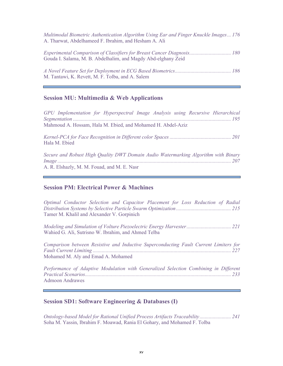*Multimodal Biometric Authentication Algorithm Using Ear and Finger Knuckle Images ... 176*  A. Tharwat, Abdelhameed F. Ibrahim, and Hesham A. Ali

*Experimental Comparison of Classifiers for Breast Cancer Diagnosis ................................ 180*  Gouda I. Salama, M. B. Abdelhalim, and Magdy Abd-elghany Zeid

*A Novel Feature Set for Deployment in ECG Based Biometrics ........................................... 186*  M. Tantawi, K. Revett, M. F. Tolba, and A. Salem

#### **Session MU: Multimedia & Web Applications**

*GPU Implementation for Hyperspectral Image Analysis using Recursive Hierarchical Segmentation ......................................................................................................................... 195*  Mahmoud A. Hossam, Hala M. Ebied, and Mohamed H. Abdel-Aziz

*Kernel-PCA for Face Recognition in Different color Spaces ............................................... 201*  Hala M. Ebied

*Secure and Robust High Quality DWT Domain Audio Watermarking Algorithm with Binary Image ..................................................................................................................................... 207*  A. R. Elshazly, M. M. Fouad, and M. E. Nasr

#### **Session PM: Electrical Power & Machines**

*Optimal Conductor Selection and Capacitor Placement for Loss Reduction of Radial Distribution Systems by Selective Particle Swarm Optimization .......................................... 215*  Tamer M. Khalil and Alexander V. Gorpinich

*Modeling and Simulation of Volture Piezoelectric Energy Harvester .................................. 221*  Wahied G. Ali, Sutrisno W. Ibrahim, and Ahmed Telba

*Comparison between Resistive and Inductive Superconducting Fault Current Limiters for Fault Current Limiting .......................................................................................................... 227*  Mohamed M. Aly and Emad A. Mohamed

*Performance of Adaptive Modulation with Generalized Selection Combining in Different Practical Scenarios ................................................................................................................ 233*  Admoon Andrawes

#### **Session SD1: Software Engineering & Databases (I)**

*Ontology-based Model for Rational Unified Process Artifacts Traceability ........................ 241*  Soha M. Yassin, Ibrahim F. Moawad, Rania El Gohary, and Mohamed F. Tolba